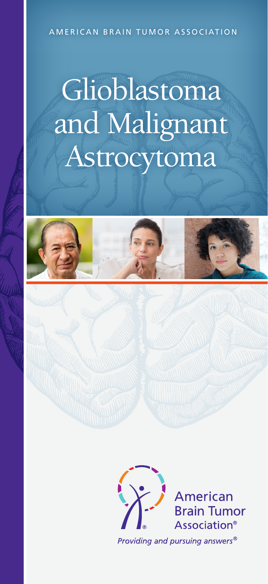#### AMERICAN BRAIN TUMOR ASSOCIATION

# Glioblastoma and Malignant Astrocytoma



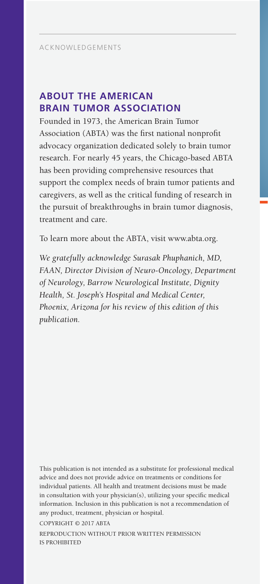# **ABOUT THE AMERICAN BRAIN TUMOR ASSOCIATION**

Founded in 1973, the American Brain Tumor Association (ABTA) was the first national nonprofit advocacy organization dedicated solely to brain tumor research. For nearly 45 years, the Chicago-based ABTA has been providing comprehensive resources that support the complex needs of brain tumor patients and caregivers, as well as the critical funding of research in the pursuit of breakthroughs in brain tumor diagnosis, treatment and care.

To learn more about the ABTA, visit www.abta.org.

*We gratefully acknowledge Surasak Phuphanich, MD, FAAN, Director Division of Neuro-Oncology, Department of Neurology, Barrow Neurological Institute, Dignity Health, St. Joseph's Hospital and Medical Center, Phoenix, Arizona for his review of this edition of this publication.*

This publication is not intended as a substitute for professional medical advice and does not provide advice on treatments or conditions for individual patients. All health and treatment decisions must be made in consultation with your physician(s), utilizing your specific medical information. Inclusion in this publication is not a recommendation of any product, treatment, physician or hospital.

COPYRIGHT © 2017 ABTA

REPRODUCTION WITHOUT PRIOR WRITTEN PERMISSION IS PROHIBITED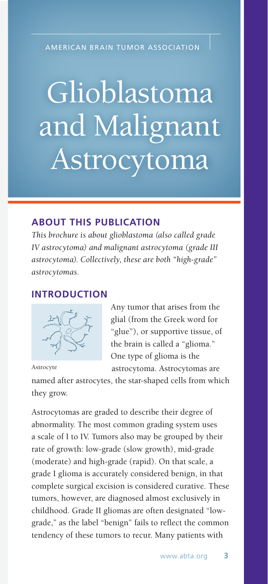AMERICAN BRAIN TUMOR ASSOCIATION

# Glioblastoma and Malignant Astrocytoma

# **ABOUT THIS PUBLICATION**

*This brochure is about glioblastoma (also called grade IV astrocytoma) and malignant astrocytoma (grade III astrocytoma). Collectively, these are both "high-grade" astrocytomas.*

## **INTRODUCTION**



Any tumor that arises from the glial (from the Greek word for "glue"), or supportive tissue, of the brain is called a "glioma." One type of glioma is the astrocytoma. Astrocytomas are

Astrocyte

named after astrocytes, the star-shaped cells from which they grow.

Astrocytomas are graded to describe their degree of abnormality. The most common grading system uses a scale of I to IV. Tumors also may be grouped by their rate of growth: low-grade (slow growth), mid-grade (moderate) and high-grade (rapid). On that scale, a grade I glioma is accurately considered benign, in that complete surgical excision is considered curative. These tumors, however, are diagnosed almost exclusively in childhood. Grade II gliomas are often designated "lowgrade," as the label "benign" fails to reflect the common tendency of these tumors to recur. Many patients with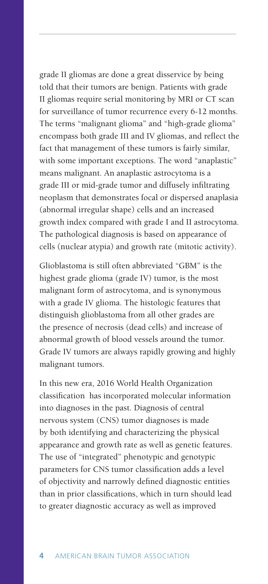grade II gliomas are done a great disservice by being told that their tumors are benign. Patients with grade II gliomas require serial monitoring by MRI or CT scan for surveillance of tumor recurrence every 6-12 months. The terms "malignant glioma" and "high-grade glioma" encompass both grade III and IV gliomas, and reflect the fact that management of these tumors is fairly similar, with some important exceptions. The word "anaplastic" means malignant. An anaplastic astrocytoma is a grade III or mid-grade tumor and diffusely infiltrating neoplasm that demonstrates focal or dispersed anaplasia (abnormal irregular shape) cells and an increased growth index compared with grade I and II astrocytoma. The pathological diagnosis is based on appearance of cells (nuclear atypia) and growth rate (mitotic activity).

Glioblastoma is still often abbreviated "GBM" is the highest grade glioma (grade IV) tumor, is the most malignant form of astrocytoma, and is synonymous with a grade IV glioma. The histologic features that distinguish glioblastoma from all other grades are the presence of necrosis (dead cells) and increase of abnormal growth of blood vessels around the tumor. Grade IV tumors are always rapidly growing and highly malignant tumors.

In this new era, 2016 World Health Organization classification has incorporated molecular information into diagnoses in the past. Diagnosis of central nervous system (CNS) tumor diagnoses is made by both identifying and characterizing the physical appearance and growth rate as well as genetic features. The use of "integrated" phenotypic and genotypic parameters for CNS tumor classification adds a level of objectivity and narrowly defined diagnostic entities than in prior classifications, which in turn should lead to greater diagnostic accuracy as well as improved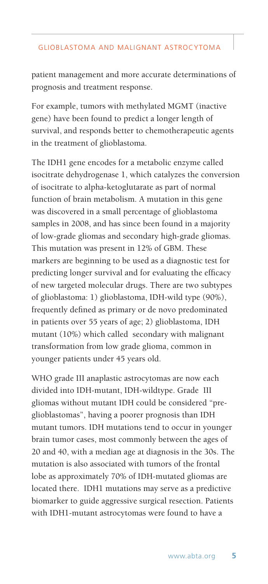patient management and more accurate determinations of prognosis and treatment response.

For example, tumors with methylated MGMT (inactive gene) have been found to predict a longer length of survival, and responds better to chemotherapeutic agents in the treatment of glioblastoma.

The IDH1 gene encodes for a metabolic enzyme called isocitrate dehydrogenase 1, which catalyzes the conversion of isocitrate to alpha-ketoglutarate as part of normal function of brain metabolism. A mutation in this gene was discovered in a small percentage of glioblastoma samples in 2008, and has since been found in a majority of low-grade gliomas and secondary high-grade gliomas. This mutation was present in 12% of GBM. These markers are beginning to be used as a diagnostic test for predicting longer survival and for evaluating the efficacy of new targeted molecular drugs. There are two subtypes of glioblastoma: 1) glioblastoma, IDH-wild type (90%), frequently defined as primary or de novo predominated in patients over 55 years of age; 2) glioblastoma, IDH mutant (10%) which called secondary with malignant transformation from low grade glioma, common in younger patients under 45 years old.

WHO grade III anaplastic astrocytomas are now each divided into IDH-mutant, IDH-wildtype. Grade III gliomas without mutant IDH could be considered "preglioblastomas", having a poorer prognosis than IDH mutant tumors. IDH mutations tend to occur in younger brain tumor cases, most commonly between the ages of 20 and 40, with a median age at diagnosis in the 30s. The mutation is also associated with tumors of the frontal lobe as approximately 70% of IDH-mutated gliomas are located there. IDH1 mutations may serve as a predictive biomarker to guide aggressive surgical resection. Patients with IDH1-mutant astrocytomas were found to have a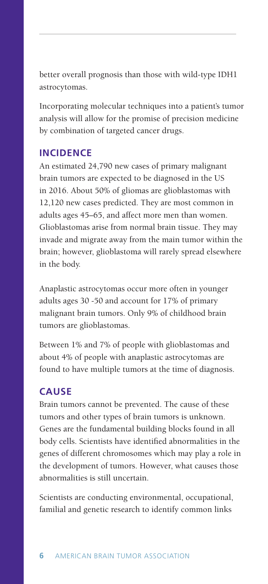better overall prognosis than those with wild-type IDH1 astrocytomas.

Incorporating molecular techniques into a patient's tumor analysis will allow for the promise of precision medicine by combination of targeted cancer drugs.

## **INCIDENCE**

An estimated 24,790 new cases of primary malignant brain tumors are expected to be diagnosed in the US in 2016. About 50% of gliomas are glioblastomas with 12,120 new cases predicted. They are most common in adults ages 45–65, and affect more men than women. Glioblastomas arise from normal brain tissue. They may invade and migrate away from the main tumor within the brain; however, glioblastoma will rarely spread elsewhere in the body.

Anaplastic astrocytomas occur more often in younger adults ages 30 -50 and account for 17% of primary malignant brain tumors. Only 9% of childhood brain tumors are glioblastomas.

Between 1% and 7% of people with glioblastomas and about 4% of people with anaplastic astrocytomas are found to have multiple tumors at the time of diagnosis.

# **CAUSE**

Brain tumors cannot be prevented. The cause of these tumors and other types of brain tumors is unknown. Genes are the fundamental building blocks found in all body cells. Scientists have identified abnormalities in the genes of different chromosomes which may play a role in the development of tumors. However, what causes those abnormalities is still uncertain.

Scientists are conducting environmental, occupational, familial and genetic research to identify common links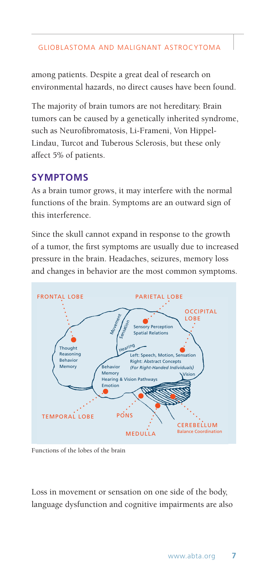among patients. Despite a great deal of research on environmental hazards, no direct causes have been found.

The majority of brain tumors are not hereditary. Brain tumors can be caused by a genetically inherited syndrome, such as Neurofibromatosis, Li-Frameni, Von Hippel-Lindau, Turcot and Tuberous Sclerosis, but these only affect 5% of patients.

## **SYMPTOMS**

As a brain tumor grows, it may interfere with the normal functions of the brain. Symptoms are an outward sign of this interference.

Since the skull cannot expand in response to the growth of a tumor, the first symptoms are usually due to increased pressure in the brain. Headaches, seizures, memory loss and changes in behavior are the most common symptoms.



Functions of the lobes of the brain

Loss in movement or sensation on one side of the body, language dysfunction and cognitive impairments are also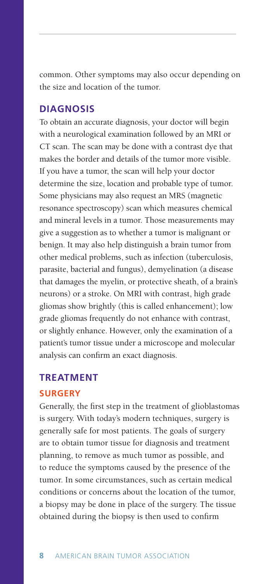common. Other symptoms may also occur depending on the size and location of the tumor.

## **DIAGNOSIS**

To obtain an accurate diagnosis, your doctor will begin with a neurological examination followed by an MRI or CT scan. The scan may be done with a contrast dye that makes the border and details of the tumor more visible. If you have a tumor, the scan will help your doctor determine the size, location and probable type of tumor. Some physicians may also request an MRS (magnetic resonance spectroscopy) scan which measures chemical and mineral levels in a tumor. Those measurements may give a suggestion as to whether a tumor is malignant or benign. It may also help distinguish a brain tumor from other medical problems, such as infection (tuberculosis, parasite, bacterial and fungus), demyelination (a disease that damages the myelin, or protective sheath, of a brain's neurons) or a stroke. On MRI with contrast, high grade gliomas show brightly (this is called enhancement); low grade gliomas frequently do not enhance with contrast, or slightly enhance. However, only the examination of a patient's tumor tissue under a microscope and molecular analysis can confirm an exact diagnosis.

#### **TREATMENT**

#### **SURGERY**

Generally, the first step in the treatment of glioblastomas is surgery. With today's modern techniques, surgery is generally safe for most patients. The goals of surgery are to obtain tumor tissue for diagnosis and treatment planning, to remove as much tumor as possible, and to reduce the symptoms caused by the presence of the tumor. In some circumstances, such as certain medical conditions or concerns about the location of the tumor, a biopsy may be done in place of the surgery. The tissue obtained during the biopsy is then used to confirm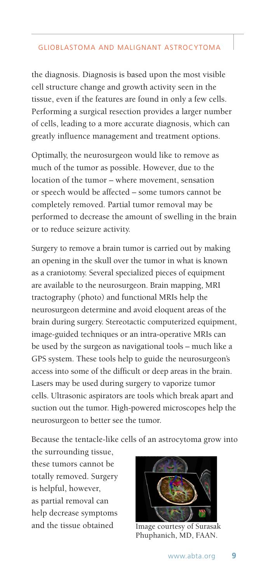the diagnosis. Diagnosis is based upon the most visible cell structure change and growth activity seen in the tissue, even if the features are found in only a few cells. Performing a surgical resection provides a larger number of cells, leading to a more accurate diagnosis, which can greatly influence management and treatment options.

Optimally, the neurosurgeon would like to remove as much of the tumor as possible. However, due to the location of the tumor – where movement, sensation or speech would be affected – some tumors cannot be completely removed. Partial tumor removal may be performed to decrease the amount of swelling in the brain or to reduce seizure activity.

Surgery to remove a brain tumor is carried out by making an opening in the skull over the tumor in what is known as a craniotomy. Several specialized pieces of equipment are available to the neurosurgeon. Brain mapping, MRI tractography (photo) and functional MRIs help the neurosurgeon determine and avoid eloquent areas of the brain during surgery. Stereotactic computerized equipment, image-guided techniques or an intra-operative MRIs can be used by the surgeon as navigational tools – much like a GPS system. These tools help to guide the neurosurgeon's access into some of the difficult or deep areas in the brain. Lasers may be used during surgery to vaporize tumor cells. Ultrasonic aspirators are tools which break apart and suction out the tumor. High-powered microscopes help the neurosurgeon to better see the tumor.

Because the tentacle-like cells of an astrocytoma grow into

the surrounding tissue, these tumors cannot be totally removed. Surgery is helpful, however, as partial removal can help decrease symptoms and the tissue obtained Image courtesy of Surasak



Phuphanich, MD, FAAN.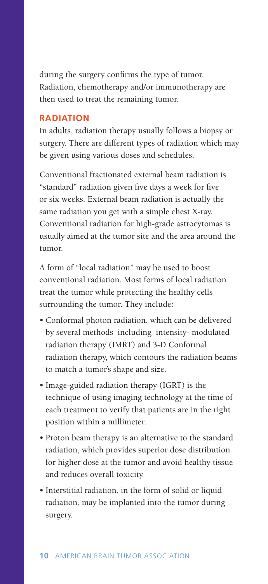during the surgery confirms the type of tumor. Radiation, chemotherapy and/or immunotherapy are then used to treat the remaining tumor.

#### **RADIATION**

In adults, radiation therapy usually follows a biopsy or surgery. There are different types of radiation which may be given using various doses and schedules.

Conventional fractionated external beam radiation is "standard" radiation given five days a week for five or six weeks. External beam radiation is actually the same radiation you get with a simple chest X-ray. Conventional radiation for high-grade astrocytomas is usually aimed at the tumor site and the area around the tumor.

A form of "local radiation" may be used to boost conventional radiation. Most forms of local radiation treat the tumor while protecting the healthy cells surrounding the tumor. They include:

- Conformal photon radiation, which can be delivered by several methods including intensity- modulated radiation therapy (IMRT) and 3-D Conformal radiation therapy, which contours the radiation beams to match a tumor's shape and size.
- Image-guided radiation therapy (IGRT) is the technique of using imaging technology at the time of each treatment to verify that patients are in the right position within a millimeter.
- Proton beam therapy is an alternative to the standard radiation, which provides superior dose distribution for higher dose at the tumor and avoid healthy tissue and reduces overall toxicity.
- Interstitial radiation, in the form of solid or liquid radiation, may be implanted into the tumor during surgery.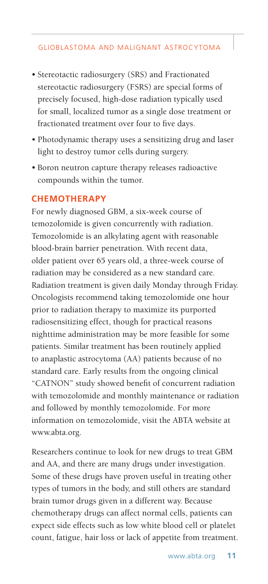- Stereotactic radiosurgery (SRS) and Fractionated stereotactic radiosurgery (FSRS) are special forms of precisely focused, high-dose radiation typically used for small, localized tumor as a single dose treatment or fractionated treatment over four to five days.
- Photodynamic therapy uses a sensitizing drug and laser light to destroy tumor cells during surgery.
- Boron neutron capture therapy releases radioactive compounds within the tumor.

#### **CHEMOTHERAPY**

For newly diagnosed GBM, a six-week course of temozolomide is given concurrently with radiation. Temozolomide is an alkylating agent with reasonable blood-brain barrier penetration. With recent data, older patient over 65 years old, a three-week course of radiation may be considered as a new standard care. Radiation treatment is given daily Monday through Friday. Oncologists recommend taking temozolomide one hour prior to radiation therapy to maximize its purported radiosensitizing effect, though for practical reasons nighttime administration may be more feasible for some patients. Similar treatment has been routinely applied to anaplastic astrocytoma (AA) patients because of no standard care. Early results from the ongoing clinical "CATNON" study showed benefit of concurrent radiation with temozolomide and monthly maintenance or radiation and followed by monthly temozolomide. For more information on temozolomide, visit the ABTA website at www.abta.org.

Researchers continue to look for new drugs to treat GBM and AA, and there are many drugs under investigation. Some of these drugs have proven useful in treating other types of tumors in the body, and still others are standard brain tumor drugs given in a different way. Because chemotherapy drugs can affect normal cells, patients can expect side effects such as low white blood cell or platelet count, fatigue, hair loss or lack of appetite from treatment.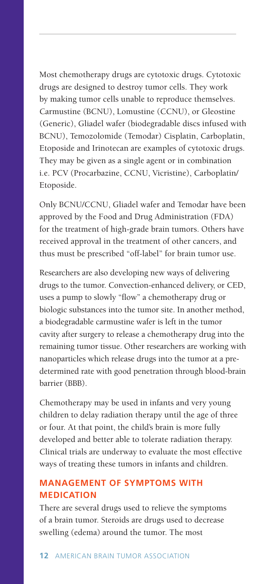Most chemotherapy drugs are cytotoxic drugs. Cytotoxic drugs are designed to destroy tumor cells. They work by making tumor cells unable to reproduce themselves. Carmustine (BCNU), Lomustine (CCNU), or Gleostine (Generic), Gliadel wafer (biodegradable discs infused with BCNU), Temozolomide (Temodar) Cisplatin, Carboplatin, Etoposide and Irinotecan are examples of cytotoxic drugs. They may be given as a single agent or in combination i.e. PCV (Procarbazine, CCNU, Vicristine), Carboplatin/ Etoposide.

Only BCNU/CCNU, Gliadel wafer and Temodar have been approved by the Food and Drug Administration (FDA) for the treatment of high-grade brain tumors. Others have received approval in the treatment of other cancers, and thus must be prescribed "off-label" for brain tumor use.

Researchers are also developing new ways of delivering drugs to the tumor. Convection-enhanced delivery, or CED, uses a pump to slowly "flow" a chemotherapy drug or biologic substances into the tumor site. In another method, a biodegradable carmustine wafer is left in the tumor cavity after surgery to release a chemotherapy drug into the remaining tumor tissue. Other researchers are working with nanoparticles which release drugs into the tumor at a predetermined rate with good penetration through blood-brain barrier (BBB).

Chemotherapy may be used in infants and very young children to delay radiation therapy until the age of three or four. At that point, the child's brain is more fully developed and better able to tolerate radiation therapy. Clinical trials are underway to evaluate the most effective ways of treating these tumors in infants and children.

## **MANAGEMENT OF SYMPTOMS WITH MEDICATION**

There are several drugs used to relieve the symptoms of a brain tumor. Steroids are drugs used to decrease swelling (edema) around the tumor. The most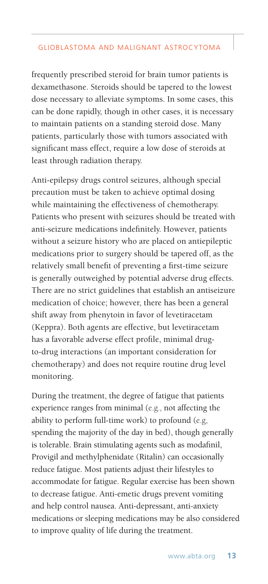frequently prescribed steroid for brain tumor patients is dexamethasone. Steroids should be tapered to the lowest dose necessary to alleviate symptoms. In some cases, this can be done rapidly, though in other cases, it is necessary to maintain patients on a standing steroid dose. Many patients, particularly those with tumors associated with significant mass effect, require a low dose of steroids at least through radiation therapy.

Anti-epilepsy drugs control seizures, although special precaution must be taken to achieve optimal dosing while maintaining the effectiveness of chemotherapy. Patients who present with seizures should be treated with anti-seizure medications indefinitely. However, patients without a seizure history who are placed on antiepileptic medications prior to surgery should be tapered off, as the relatively small benefit of preventing a first-time seizure is generally outweighed by potential adverse drug effects. There are no strict guidelines that establish an antiseizure medication of choice; however, there has been a general shift away from phenytoin in favor of levetiracetam (Keppra). Both agents are effective, but levetiracetam has a favorable adverse effect profile, minimal drugto-drug interactions (an important consideration for chemotherapy) and does not require routine drug level monitoring.

During the treatment, the degree of fatigue that patients experience ranges from minimal (e.g., not affecting the ability to perform full-time work) to profound (e.g, spending the majority of the day in bed), though generally is tolerable. Brain stimulating agents such as modafinil, Provigil and methylphenidate (Ritalin) can occasionally reduce fatigue. Most patients adjust their lifestyles to accommodate for fatigue. Regular exercise has been shown to decrease fatigue. Anti-emetic drugs prevent vomiting and help control nausea. Anti-depressant, anti-anxiety medications or sleeping medications may be also considered to improve quality of life during the treatment.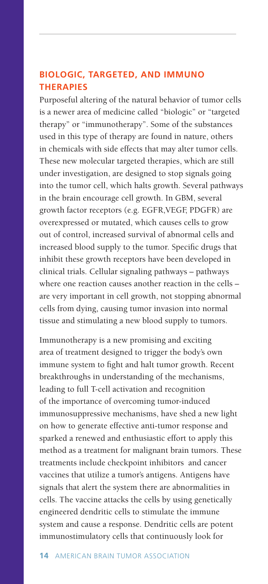# **BIOLOGIC, TARGETED, AND IMMUNO THERAPIES**

Purposeful altering of the natural behavior of tumor cells is a newer area of medicine called "biologic" or "targeted therapy" or "immunotherapy". Some of the substances used in this type of therapy are found in nature, others in chemicals with side effects that may alter tumor cells. These new molecular targeted therapies, which are still under investigation, are designed to stop signals going into the tumor cell, which halts growth. Several pathways in the brain encourage cell growth. In GBM, several growth factor receptors (e.g. EGFR,VEGF, PDGFR) are overexpressed or mutated, which causes cells to grow out of control, increased survival of abnormal cells and increased blood supply to the tumor. Specific drugs that inhibit these growth receptors have been developed in clinical trials. Cellular signaling pathways – pathways where one reaction causes another reaction in the cells – are very important in cell growth, not stopping abnormal cells from dying, causing tumor invasion into normal tissue and stimulating a new blood supply to tumors.

Immunotherapy is a new promising and exciting area of treatment designed to trigger the body's own immune system to fight and halt tumor growth. Recent breakthroughs in understanding of the mechanisms, leading to full T-cell activation and recognition of the importance of overcoming tumor-induced immunosuppressive mechanisms, have shed a new light on how to generate effective anti-tumor response and sparked a renewed and enthusiastic effort to apply this method as a treatment for malignant brain tumors. These treatments include checkpoint inhibitors and cancer vaccines that utilize a tumor's antigens. Antigens have signals that alert the system there are abnormalities in cells. The vaccine attacks the cells by using genetically engineered dendritic cells to stimulate the immune system and cause a response. Dendritic cells are potent immunostimulatory cells that continuously look for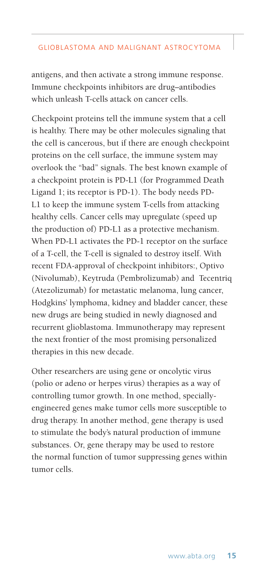antigens, and then activate a strong immune response. Immune checkpoints inhibitors are drug–antibodies which unleash T-cells attack on cancer cells.

Checkpoint proteins tell the immune system that a cell is healthy. There may be other molecules signaling that the cell is cancerous, but if there are enough checkpoint proteins on the cell surface, the immune system may overlook the "bad" signals. The best known example of a checkpoint protein is PD-L1 (for Programmed Death Ligand 1; its receptor is PD-1). The body needs PD-L1 to keep the immune system T-cells from attacking healthy cells. Cancer cells may upregulate (speed up the production of) PD-L1 as a protective mechanism. When PD-L1 activates the PD-1 receptor on the surface of a T-cell, the T-cell is signaled to destroy itself. With recent FDA-approval of checkpoint inhibitors:, Optivo (Nivolumab), Keytruda (Pembrolizumab) and Tecentriq (Atezolizumab) for metastatic melanoma, lung cancer, Hodgkins' lymphoma, kidney and bladder cancer, these new drugs are being studied in newly diagnosed and recurrent glioblastoma. Immunotherapy may represent the next frontier of the most promising personalized therapies in this new decade.

Other researchers are using gene or oncolytic virus (polio or adeno or herpes virus) therapies as a way of controlling tumor growth. In one method, speciallyengineered genes make tumor cells more susceptible to drug therapy. In another method, gene therapy is used to stimulate the body's natural production of immune substances. Or, gene therapy may be used to restore the normal function of tumor suppressing genes within tumor cells.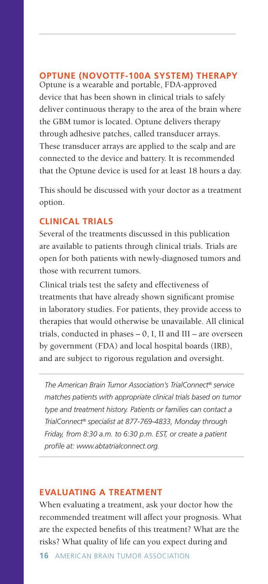# **OPTUNE (NOVOTTF-100A SYSTEM) THERAPY**

Optune is a wearable and portable, FDA-approved device that has been shown in clinical trials to safely deliver continuous therapy to the area of the brain where the GBM tumor is located. Optune delivers therapy through adhesive patches, called transducer arrays. These transducer arrays are applied to the scalp and are connected to the device and battery. It is recommended that the Optune device is used for at least 18 hours a day.

This should be discussed with your doctor as a treatment option.

#### **CLINICAL TRIALS**

Several of the treatments discussed in this publication are available to patients through clinical trials. Trials are open for both patients with newly-diagnosed tumors and those with recurrent tumors.

Clinical trials test the safety and effectiveness of treatments that have already shown significant promise in laboratory studies. For patients, they provide access to therapies that would otherwise be unavailable. All clinical trials, conducted in phases  $-0$ , I, II and III – are overseen by government (FDA) and local hospital boards (IRB), and are subject to rigorous regulation and oversight.

*The American Brain Tumor Association's TrialConnect® service matches patients with appropriate clinical trials based on tumor type and treatment history. Patients or families can contact a TrialConnect® specialist at 877-769-4833, Monday through Friday, from 8:30 a.m. to 6:30 p.m. EST, or create a patient profile at: www.abtatrialconnect.org.* 

#### **EVALUATING A TREATMENT**

When evaluating a treatment, ask your doctor how the recommended treatment will affect your prognosis. What are the expected benefits of this treatment? What are the risks? What quality of life can you expect during and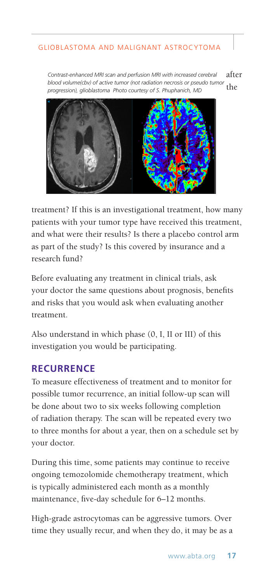after the *Contrast-enhanced MRI scan and perfusion MRI with increased cerebral blood volume(cbv) of active tumor (not radiation necrosis or pseudo tumor progression), glioblastoma Photo courtesy of S. Phuphanich, MD* 



treatment? If this is an investigational treatment, how many patients with your tumor type have received this treatment, and what were their results? Is there a placebo control arm as part of the study? Is this covered by insurance and a research fund?

Before evaluating any treatment in clinical trials, ask your doctor the same questions about prognosis, benefits and risks that you would ask when evaluating another treatment.

Also understand in which phase (0, I, II or III) of this investigation you would be participating.

## **RECURRENCE**

To measure effectiveness of treatment and to monitor for possible tumor recurrence, an initial follow-up scan will be done about two to six weeks following completion of radiation therapy. The scan will be repeated every two to three months for about a year, then on a schedule set by your doctor.

During this time, some patients may continue to receive ongoing temozolomide chemotherapy treatment, which is typically administered each month as a monthly maintenance, five-day schedule for 6–12 months.

High-grade astrocytomas can be aggressive tumors. Over time they usually recur, and when they do, it may be as a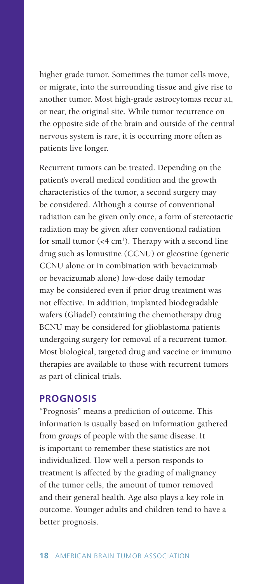higher grade tumor. Sometimes the tumor cells move, or migrate, into the surrounding tissue and give rise to another tumor. Most high-grade astrocytomas recur at, or near, the original site. While tumor recurrence on the opposite side of the brain and outside of the central nervous system is rare, it is occurring more often as patients live longer.

Recurrent tumors can be treated. Depending on the patient's overall medical condition and the growth characteristics of the tumor, a second surgery may be considered. Although a course of conventional radiation can be given only once, a form of stereotactic radiation may be given after conventional radiation for small tumor  $( $4 \text{ cm}^3$ ).$ drug such as lomustine (CCNU) or gleostine (generic CCNU alone or in combination with bevacizumab or bevacizumab alone) low-dose daily temodar may be considered even if prior drug treatment was not effective. In addition, implanted biodegradable wafers (Gliadel) containing the chemotherapy drug BCNU may be considered for glioblastoma patients undergoing surgery for removal of a recurrent tumor. Most biological, targeted drug and vaccine or immuno therapies are available to those with recurrent tumors as part of clinical trials.

#### **PROGNOSIS**

"Prognosis" means a prediction of outcome. This information is usually based on information gathered from *groups* of people with the same disease. It is important to remember these statistics are not individualized. How well a person responds to treatment is affected by the grading of malignancy of the tumor cells, the amount of tumor removed and their general health. Age also plays a key role in outcome. Younger adults and children tend to have a better prognosis.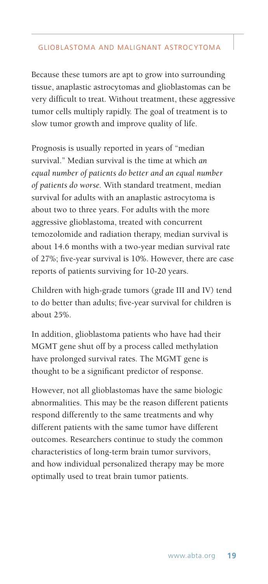Because these tumors are apt to grow into surrounding tissue, anaplastic astrocytomas and glioblastomas can be very difficult to treat. Without treatment, these aggressive tumor cells multiply rapidly. The goal of treatment is to slow tumor growth and improve quality of life.

Prognosis is usually reported in years of "median survival." Median survival is the time at which *an equal number of patients do better and an equal number of patients do worse.* With standard treatment, median survival for adults with an anaplastic astrocytoma is about two to three years. For adults with the more aggressive glioblastoma, treated with concurrent temozolomide and radiation therapy, median survival is about 14.6 months with a two-year median survival rate of 27%; five-year survival is 10%. However, there are case reports of patients surviving for 10-20 years.

Children with high-grade tumors (grade III and IV) tend to do better than adults; five-year survival for children is about 25%.

In addition, glioblastoma patients who have had their MGMT gene shut off by a process called methylation have prolonged survival rates. The MGMT gene is thought to be a significant predictor of response.

However, not all glioblastomas have the same biologic abnormalities. This may be the reason different patients respond differently to the same treatments and why different patients with the same tumor have different outcomes. Researchers continue to study the common characteristics of long-term brain tumor survivors, and how individual personalized therapy may be more optimally used to treat brain tumor patients.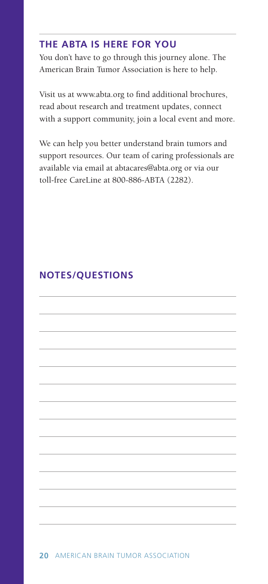## **THE ABTA IS HERE FOR YOU**

You don't have to go through this journey alone. The American Brain Tumor Association is here to help.

Visit us at www.abta.org to find additional brochures, read about research and treatment updates, connect with a support community, join a local event and more.

We can help you better understand brain tumors and support resources. Our team of caring professionals are available via email at abtacares@abta.org or via our toll-free CareLine at 800-886-ABTA (2282).

# **NOTES/QUESTIONS**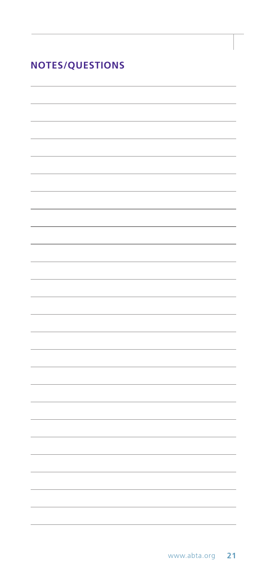| <b>NOTES/QUESTIONS</b> |  |  |  |  |  |  |  |  |
|------------------------|--|--|--|--|--|--|--|--|
|------------------------|--|--|--|--|--|--|--|--|

L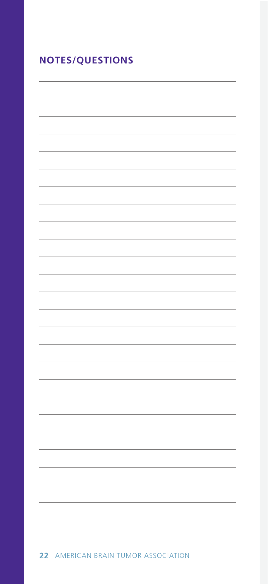| <b>NOTES/QUESTIONS</b> |  |  |  |  |  |  |  |
|------------------------|--|--|--|--|--|--|--|
|                        |  |  |  |  |  |  |  |
|                        |  |  |  |  |  |  |  |
|                        |  |  |  |  |  |  |  |
|                        |  |  |  |  |  |  |  |
|                        |  |  |  |  |  |  |  |
|                        |  |  |  |  |  |  |  |
|                        |  |  |  |  |  |  |  |
|                        |  |  |  |  |  |  |  |
|                        |  |  |  |  |  |  |  |
|                        |  |  |  |  |  |  |  |
|                        |  |  |  |  |  |  |  |
|                        |  |  |  |  |  |  |  |
|                        |  |  |  |  |  |  |  |
|                        |  |  |  |  |  |  |  |
|                        |  |  |  |  |  |  |  |
|                        |  |  |  |  |  |  |  |
|                        |  |  |  |  |  |  |  |
|                        |  |  |  |  |  |  |  |
|                        |  |  |  |  |  |  |  |
|                        |  |  |  |  |  |  |  |
|                        |  |  |  |  |  |  |  |
|                        |  |  |  |  |  |  |  |
|                        |  |  |  |  |  |  |  |
|                        |  |  |  |  |  |  |  |
|                        |  |  |  |  |  |  |  |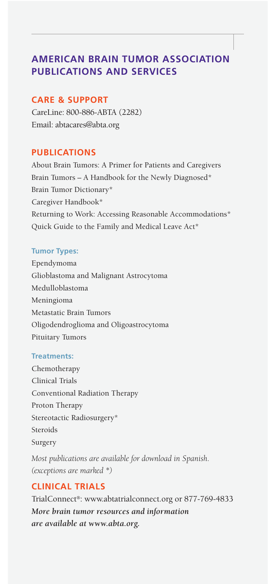# **AMERICAN BRAIN TUMOR ASSOCIATION PUBLICATIONS AND SERVICES**

#### **CARE & SUPPORT**

CareLine: 800-886-ABTA (2282) Email: abtacares@abta.org

## **PUBLICATIONS**

About Brain Tumors: A Primer for Patients and Caregivers Brain Tumors - A Handbook for the Newly Diagnosed\* Brain Tumor Dictionary\* Caregiver Handbook\* Returning to Work: Accessing Reasonable Accommodations\* Quick Guide to the Family and Medical Leave Act\*

#### **Tumor Types:**

Ependymoma Glioblastoma and Malignant Astrocytoma Medulloblastoma Meningioma Metastatic Brain Tumors Oligodendroglioma and Oligoastrocytoma Pituitary Tumors

#### **Treatments:**

Chemotherapy Clinical Trials Conventional Radiation Therapy Proton Therapy Stereotactic Radiosurgery\* Steroids Surgery

*Most publications are available for download in Spanish. (exceptions are marked \*)*

# **CLINICAL TRIALS**

TrialConnect®: www.abtatrialconnect.org or 877-769-4833 *More brain tumor resources and information are available at www.abta.org.*